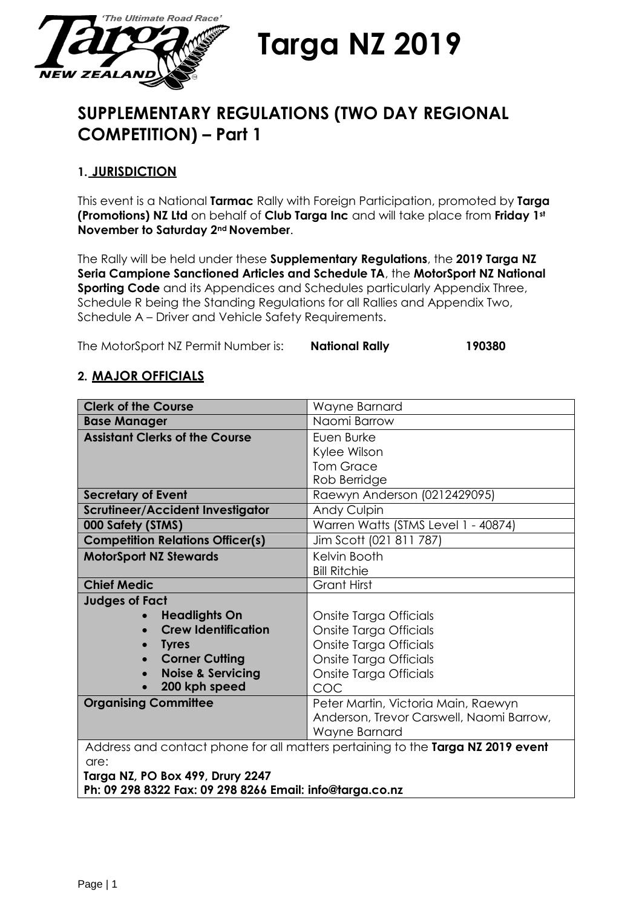

**Targa NZ 2019**

# **SUPPLEMENTARY REGULATIONS (TWO DAY REGIONAL COMPETITION) – Part 1**

# **1. JURISDICTION**

This event is a National **Tarmac** Rally with Foreign Participation, promoted by **Targa (Promotions) NZ Ltd** on behalf of **Club Targa Inc** and will take place from **Friday 1st November to Saturday 2nd November**.

The Rally will be held under these **Supplementary Regulations**, the **2019 Targa NZ Seria Campione Sanctioned Articles and Schedule TA**, the **MotorSport NZ National Sporting Code** and its Appendices and Schedules particularly Appendix Three, Schedule R being the Standing Regulations for all Rallies and Appendix Two, Schedule A – Driver and Vehicle Safety Requirements.

The MotorSport NZ Permit Number is: **National Rally 190380**

# **2. MAJOR OFFICIALS**

| <b>Clerk of the Course</b>              | Wayne Barnard                                                                   |
|-----------------------------------------|---------------------------------------------------------------------------------|
| <b>Base Manager</b>                     | Naomi Barrow                                                                    |
| <b>Assistant Clerks of the Course</b>   | Euen Burke                                                                      |
|                                         | Kylee Wilson                                                                    |
|                                         | <b>Tom Grace</b>                                                                |
|                                         | Rob Berridge                                                                    |
| <b>Secretary of Event</b>               | Raewyn Anderson (0212429095)                                                    |
| <b>Scrutineer/Accident Investigator</b> | Andy Culpin                                                                     |
| 000 Safety (STMS)                       | Warren Watts (STMS Level 1 - 40874)                                             |
| <b>Competition Relations Officer(s)</b> | Jim Scott (021 811 787)                                                         |
| <b>MotorSport NZ Stewards</b>           | Kelvin Booth                                                                    |
|                                         | <b>Bill Ritchie</b>                                                             |
| <b>Chief Medic</b>                      | <b>Grant Hirst</b>                                                              |
| <b>Judges of Fact</b>                   |                                                                                 |
| <b>Headlights On</b>                    | Onsite Targa Officials                                                          |
| <b>Crew Identification</b>              | Onsite Targa Officials                                                          |
| <b>Tyres</b>                            | Onsite Targa Officials                                                          |
| <b>Corner Cutting</b>                   | Onsite Targa Officials                                                          |
| <b>Noise &amp; Servicing</b>            | Onsite Targa Officials                                                          |
| 200 kph speed                           | COC                                                                             |
| <b>Organising Committee</b>             | Peter Martin, Victoria Main, Raewyn                                             |
|                                         | Anderson, Trevor Carswell, Naomi Barrow,                                        |
|                                         | Wayne Barnard                                                                   |
|                                         | Address and contact phone for all matters pertaining to the Targa NZ 2019 event |
| are:                                    |                                                                                 |
| Targa NZ, PO Box 499, Drury 2247        |                                                                                 |

**Ph: 09 298 8322 Fax: 09 298 8266 Email: [info@targa.co.nz](mailto:info@targa.co.nz)**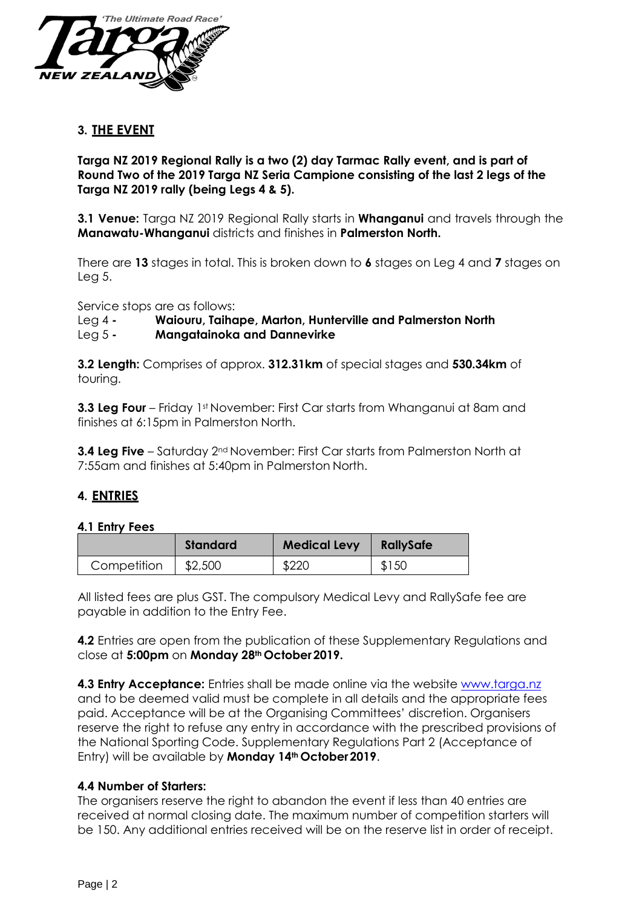

## **3. THE EVENT**

**Targa NZ 2019 Regional Rally is a two (2) day Tarmac Rally event, and is part of Round Two of the 2019 Targa NZ Seria Campione consisting of the last 2 legs of the Targa NZ 2019 rally (being Legs 4 & 5).**

**3.1 Venue:** Targa NZ 2019 Regional Rally starts in **Whanganui** and travels through the **Manawatu-Whanganui** districts and finishes in **Palmerston North.**

There are **13** stages in total. This is broken down to **6** stages on Leg 4 and **7** stages on Leg 5.

Service stops are as follows:

#### Leg 4 **- Waiouru, Taihape, Marton, Hunterville and Palmerston North**

Leg 5 **- Mangatainoka and Dannevirke**

**3.2 Length:** Comprises of approx. **312.31km** of special stages and **530.34km** of touring.

**3.3 Leg Four** – Friday 1<sup>st</sup> November: First Car starts from Whanganui at 8am and finishes at 6:15pm in Palmerston North.

**3.4 Leg Five** – Saturday 2<sup>nd</sup> November: First Car starts from Palmerston North at 7:55am and finishes at 5:40pm in Palmerston North.

## **4. ENTRIES**

#### **4.1 Entry Fees**

|             | <b>Standard</b> | <b>Medical Levy</b> | RallySafe |
|-------------|-----------------|---------------------|-----------|
| Competition | \$2,500         | \$220               | \$150     |

All listed fees are plus GST. The compulsory Medical Levy and RallySafe fee are payable in addition to the Entry Fee.

**4.2** Entries are open from the publication of these Supplementary Regulations and close at **5:00pm** on **Monday 28th October2019.**

**4.3 Entry Acceptance:** Entries shall be made online via the website [www.targa.nz](http://www.targa.nz/) and to be deemed valid must be complete in all details and the appropriate fees paid. Acceptance will be at the Organising Committees' discretion. Organisers reserve the right to refuse any entry in accordance with the prescribed provisions of the National Sporting Code. Supplementary Regulations Part 2 (Acceptance of Entry) will be available by **Monday 14th October2019**.

## **4.4 Number of Starters:**

The organisers reserve the right to abandon the event if less than 40 entries are received at normal closing date. The maximum number of competition starters will be 150. Any additional entries received will be on the reserve list in order of receipt.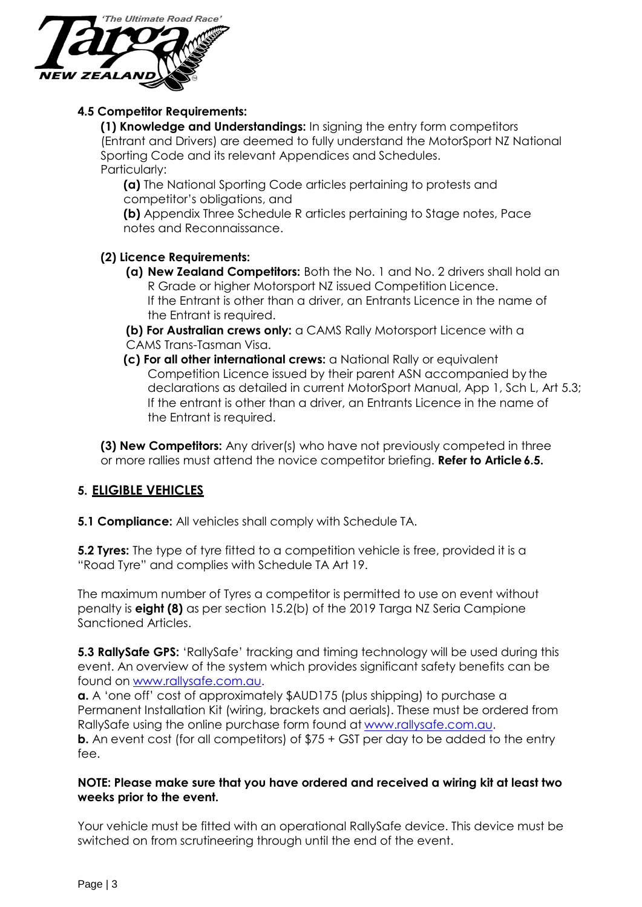

## **4.5 Competitor Requirements:**

**(1) Knowledge and Understandings:** In signing the entry form competitors (Entrant and Drivers) are deemed to fully understand the MotorSport NZ National Sporting Code and its relevant Appendices and Schedules. Particularly:

**(a)** The National Sporting Code articles pertaining to protests and competitor's obligations, and

**(b)** Appendix Three Schedule R articles pertaining to Stage notes, Pace notes and Reconnaissance.

## **(2) Licence Requirements:**

**(a) New Zealand Competitors:** Both the No. 1 and No. 2 drivers shall hold an R Grade or higher Motorsport NZ issued Competition Licence. If the Entrant is other than a driver, an Entrants Licence in the name of the Entrant is required.

**(b) For Australian crews only:** a CAMS Rally Motorsport Licence with a CAMS Trans-Tasman Visa.

**(c) For all other international crews:** a National Rally or equivalent Competition Licence issued by their parent ASN accompanied by the declarations as detailed in current MotorSport Manual, App 1, Sch L, Art 5.3; If the entrant is other than a driver, an Entrants Licence in the name of the Entrant is required.

**(3) New Competitors:** Any driver(s) who have not previously competed in three or more rallies must attend the novice competitor briefing. **Refer to Article 6.5.** 

# **5. ELIGIBLE VEHICLES**

**5.1 Compliance:** All vehicles shall comply with Schedule TA.

**5.2 Tyres:** The type of tyre fitted to a competition vehicle is free, provided it is a "Road Tyre" and complies with Schedule TA Art 19.

The maximum number of Tyres a competitor is permitted to use on event without penalty is **eight (8)** as per section 15.2(b) of the 2019 Targa NZ Seria Campione Sanctioned Articles.

**5.3 RallySafe GPS:** 'RallySafe' tracking and timing technology will be used during this event. An overview of the system which provides significant safety benefits can be found on [www.rallysafe.com.au.](http://www.rallysafe.com.au/)

**a.** A 'one off' cost of approximately \$AUD175 (plus shipping) to purchase a Permanent Installation Kit (wiring, brackets and aerials). These must be ordered from RallySafe using the online purchase form found at [www.rallysafe.com.au.](http://www.rallysafe.com.au/) **b.** An event cost (for all competitors) of  $$75 + GST$  per day to be added to the entry fee.

## **NOTE: Please make sure that you have ordered and received a wiring kit at least two weeks prior to the event.**

Your vehicle must be fitted with an operational RallySafe device. This device must be switched on from scrutineering through until the end of the event.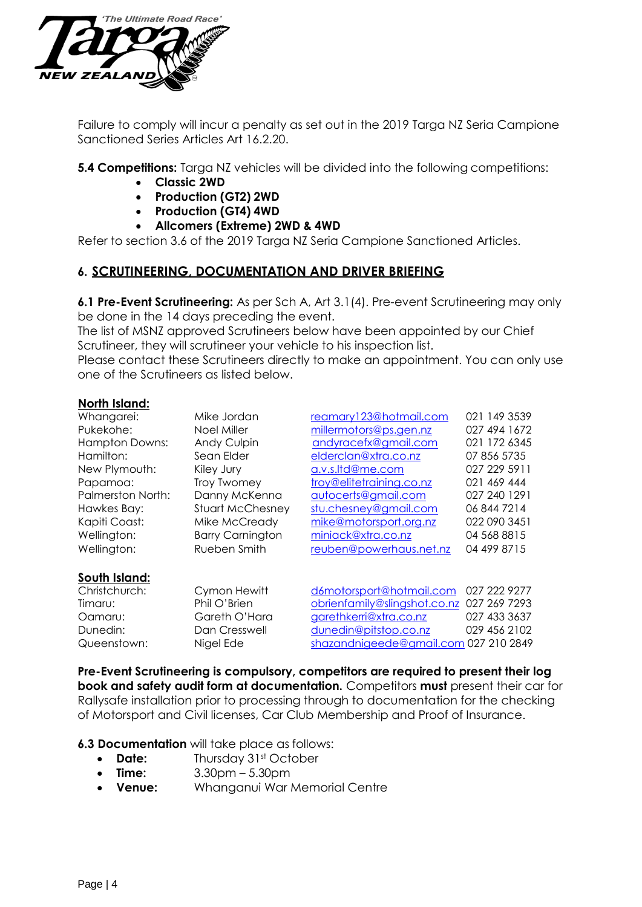

Failure to comply will incur a penalty as set out in the 2019 Targa NZ Seria Campione Sanctioned Series Articles Art 16.2.20.

**5.4 Competitions:** Targa NZ vehicles will be divided into the following competitions:

- **Classic 2WD**
- **Production (GT2) 2WD**
- **Production (GT4) 4WD**
- **Allcomers (Extreme) 2WD & 4WD**

Refer to section 3.6 of the 2019 Targa NZ Seria Campione Sanctioned Articles.

## **6. SCRUTINEERING, DOCUMENTATION AND DRIVER BRIEFING**

**6.1 Pre-Event Scrutineering:** As per Sch A, Art 3.1(4). Pre-event Scrutineering may only be done in the 14 days preceding the event.

The list of MSNZ approved Scrutineers below have been appointed by our Chief Scrutineer, they will scrutineer your vehicle to his inspection list.

Please contact these Scrutineers directly to make an appointment. You can only use one of the Scrutineers as listed below.

#### **North Island:**

| Whangarei:               | Mike Jordan             | reamary123@hotmail.com                | 021 149 3539 |
|--------------------------|-------------------------|---------------------------------------|--------------|
| Pukekohe:                | Noel Miller             | millermotors@ps.gen.nz                | 027 494 1672 |
| <b>Hampton Downs:</b>    | <b>Andy Culpin</b>      | andyracefx@gmail.com                  | 021 172 6345 |
| Hamilton:                | Sean Elder              | elderclan@xtra.co.nz                  | 07 856 5735  |
| New Plymouth:            | Kiley Jury              | a.v.s.ltd@me.com                      | 027 229 5911 |
| Papamoa:                 | Troy Twomey             | troy@elitetraining.co.nz              | 021 469 444  |
| <b>Palmerston North:</b> | Danny McKenna           | autocerts@gmail.com                   | 027 240 1291 |
| Hawkes Bay:              | <b>Stuart McChesney</b> | stu.chesney@gmail.com                 | 06 844 7214  |
| Kapiti Coast:            | Mike McCready           | mike@motorsport.org.nz                | 022 090 3451 |
| Wellington:              | <b>Barry Carnington</b> | miniack@xtra.co.nz                    | 04 568 8815  |
| Wellington:              | Rueben Smith            | reuben@powerhaus.net.nz               | 04 499 8715  |
| South Island:            |                         |                                       |              |
| Christchurch:            | Cymon Hewitt            | d6motorsport@hotmail.com              | 027 222 9277 |
| Timaru:                  | Phil O'Brien            | obrienfamily@slingshot.co.nz          | 027 269 7293 |
| Oamaru:                  | Gareth O'Hara           | garethkerri@xtra.co.nz                | 027 433 3637 |
| Dunedin:                 | Dan Cresswell           | dunedin@pitstop.co.nz                 | 029 456 2102 |
| Queenstown:              | Nigel Ede               | shazandnigeede@gmail.com 027 210 2849 |              |

**Pre-Event Scrutineering is compulsory, competitors are required to present their log book and safety audit form at documentation.** Competitors **must** present their car for Rallysafe installation prior to processing through to documentation for the checking of Motorsport and Civil licenses, Car Club Membership and Proof of Insurance.

**6.3 Documentation** will take place as follows:

- **Date:** Thursday 31st October
- **Time:** 3.30pm 5.30pm
- **Venue:** Whanganui War Memorial Centre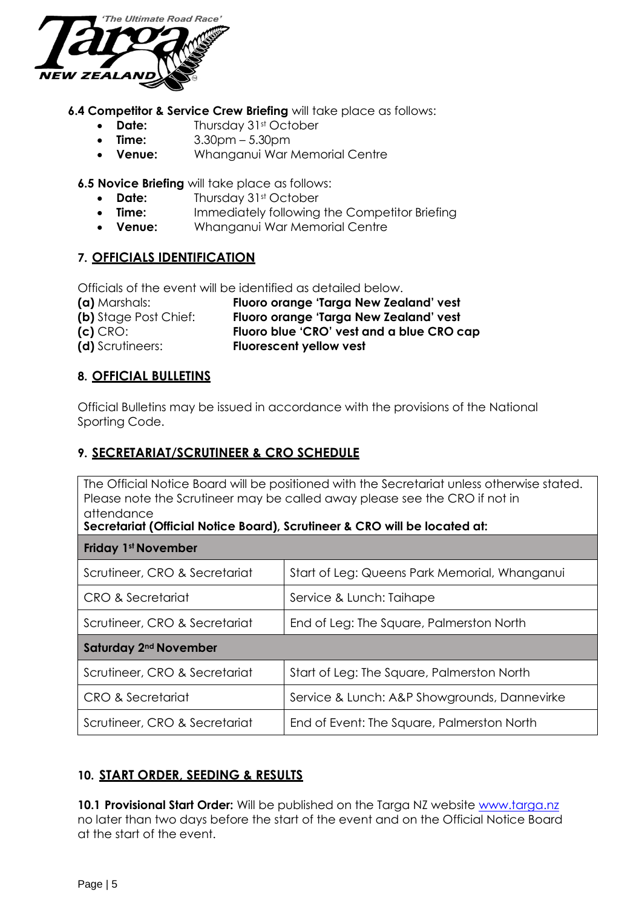

**6.4 Competitor & Service Crew Briefing** will take place as follows:

- **Date:** Thursday 31st October
- **Time:** 3.30pm 5.30pm
- **Venue:** Whanganui War Memorial Centre

**6.5 Novice Briefing** will take place as follows:

- **Date:** Thursday 31st October
- **Time:** Immediately following the Competitor Briefing
- **Venue:** Whanganui War Memorial Centre

# **7. OFFICIALS IDENTIFICATION**

Officials of the event will be identified as detailed below.

| (a) Marshals:         | Fluoro orange 'Targa New Zealand' vest    |
|-----------------------|-------------------------------------------|
| (b) Stage Post Chief: | Fluoro orange 'Targa New Zealand' vest    |
| $(c)$ CRO:            | Fluoro blue 'CRO' vest and a blue CRO cap |
| (d) Scrutineers:      | <b>Fluorescent yellow vest</b>            |

#### **8. OFFICIAL BULLETINS**

Official Bulletins may be issued in accordance with the provisions of the National Sporting Code.

## **9. SECRETARIAT/SCRUTINEER & CRO SCHEDULE**

The Official Notice Board will be positioned with the Secretariat unless otherwise stated. Please note the Scrutineer may be called away please see the CRO if not in attendance

#### **Secretariat (Official Notice Board), Scrutineer & CRO will be located at:**

| <b>Friday 1st November</b>        |                                               |  |
|-----------------------------------|-----------------------------------------------|--|
| Scrutineer, CRO & Secretariat     | Start of Leg: Queens Park Memorial, Whanganui |  |
| CRO & Secretariat                 | Service & Lunch: Taihape                      |  |
| Scrutineer, CRO & Secretariat     | End of Leg: The Square, Palmerston North      |  |
| Saturday 2 <sup>nd</sup> November |                                               |  |
|                                   |                                               |  |
| Scrutineer, CRO & Secretariat     | Start of Leg: The Square, Palmerston North    |  |
| CRO & Secretariat                 | Service & Lunch: A&P Showgrounds, Dannevirke  |  |

# **10. START ORDER, SEEDING & RESULTS**

10.1 **Provisional Start Order:** Will be published on the Targa NZ website [www.targa.nz](http://www.targa.nz/) no later than two days before the start of the event and on the Official Notice Board at the start of the event.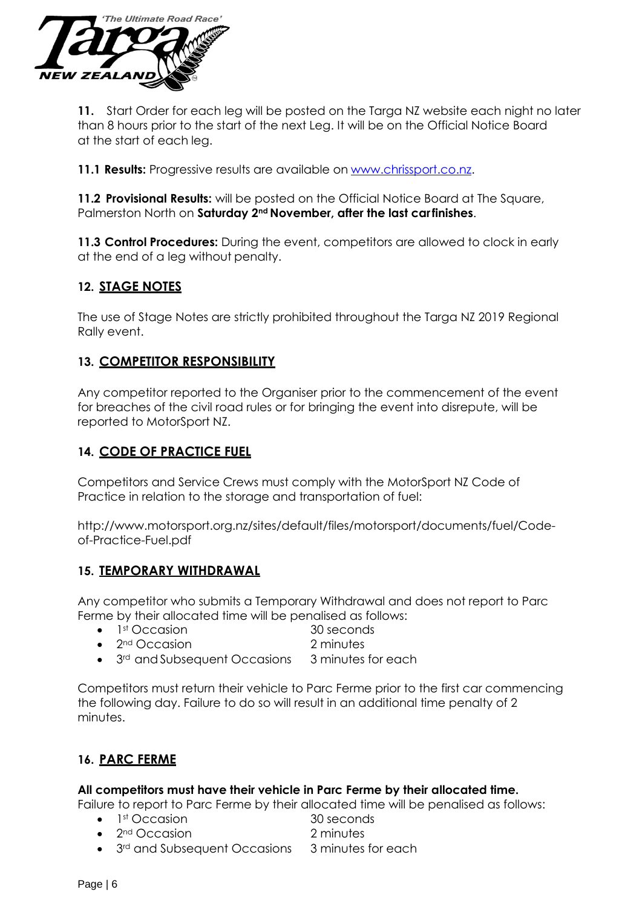

**11.** Start Order for each leg will be posted on the Targa NZ website each night no later than 8 hours prior to the start of the next Leg. It will be on the Official Notice Board at the start of each leg.

**11.1 Results:** Progressive results are available on [www.chrissport.co.nz.](http://www.chrissport.co.nz/)

**11.2 Provisional Results:** will be posted on the Official Notice Board at The Square, Palmerston North on **Saturday 2nd November, after the last carfinishes**.

**11.3 Control Procedures:** During the event, competitors are allowed to clock in early at the end of a leg without penalty.

# **12. STAGE NOTES**

The use of Stage Notes are strictly prohibited throughout the Targa NZ 2019 Regional Rally event.

## **13. COMPETITOR RESPONSIBILITY**

Any competitor reported to the Organiser prior to the commencement of the event for breaches of the civil road rules or for bringing the event into disrepute, will be reported to MotorSport NZ.

#### **14. CODE OF PRACTICE FUEL**

Competitors and Service Crews must comply with the MotorSport NZ Code of Practice in relation to the storage and transportation of fuel:

[http://www.motorsport.org.nz/sites/default/files/motorsport/documents/fuel/Code](http://www.motorsport.org.nz/sites/default/files/motorsport/documents/fuel/Code-)of-Practice-Fuel.pdf

#### **15. TEMPORARY WITHDRAWAL**

Any competitor who submits a Temporary Withdrawal and does not report to Parc Ferme by their allocated time will be penalised as follows:

- 1<sup>st</sup> Occasion 30 seconds
- 2<sup>nd</sup> Occasion 2 minutes
- 3<sup>rd</sup> and Subsequent Occasions 3 minutes for each

Competitors must return their vehicle to Parc Ferme prior to the first car commencing the following day. Failure to do so will result in an additional time penalty of 2 minutes.

# **16. PARC FERME**

#### **All competitors must have their vehicle in Parc Ferme by their allocated time.**

Failure to report to Parc Ferme by their allocated time will be penalised as follows:

- 1<sup>st</sup> Occasion 30 seconds
	-
	- 2nd Occasion 2 minutes
		- 3<sup>rd</sup> and Subsequent Occasions 3 minutes for each